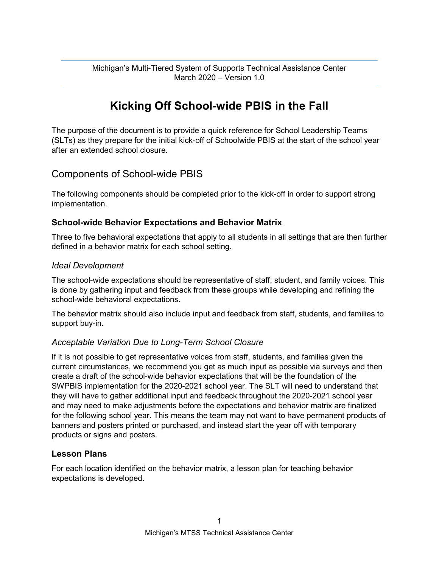Michigan's Multi-Tiered System of Supports Technical Assistance Center March 2020 – Version 1.0

# **Kicking Off School-wide PBIS in the Fall**

The purpose of the document is to provide a quick reference for School Leadership Teams (SLTs) as they prepare for the initial kick-off of Schoolwide PBIS at the start of the school year after an extended school closure.

# Components of School-wide PBIS

The following components should be completed prior to the kick-off in order to support strong implementation.

#### **School-wide Behavior Expectations and Behavior Matrix**

Three to five behavioral expectations that apply to all students in all settings that are then further defined in a behavior matrix for each school setting.

#### *Ideal Development*

The school-wide expectations should be representative of staff, student, and family voices. This is done by gathering input and feedback from these groups while developing and refining the school-wide behavioral expectations.

The behavior matrix should also include input and feedback from staff, students, and families to support buy-in.

#### *Acceptable Variation Due to Long-Term School Closure*

If it is not possible to get representative voices from staff, students, and families given the current circumstances, we recommend you get as much input as possible via surveys and then create a draft of the school-wide behavior expectations that will be the foundation of the SWPBIS implementation for the 2020-2021 school year. The SLT will need to understand that they will have to gather additional input and feedback throughout the 2020-2021 school year and may need to make adjustments before the expectations and behavior matrix are finalized for the following school year. This means the team may not want to have permanent products of banners and posters printed or purchased, and instead start the year off with temporary products or signs and posters.

# **Lesson Plans**

For each location identified on the behavior matrix, a lesson plan for teaching behavior expectations is developed.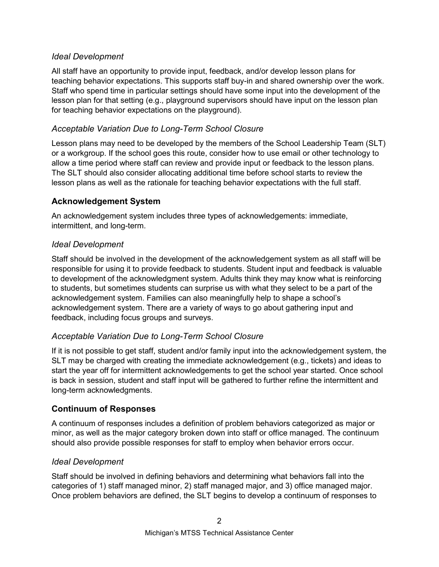### *Ideal Development*

All staff have an opportunity to provide input, feedback, and/or develop lesson plans for teaching behavior expectations. This supports staff buy-in and shared ownership over the work. Staff who spend time in particular settings should have some input into the development of the lesson plan for that setting (e.g., playground supervisors should have input on the lesson plan for teaching behavior expectations on the playground).

# *Acceptable Variation Due to Long-Term School Closure*

Lesson plans may need to be developed by the members of the School Leadership Team (SLT) or a workgroup. If the school goes this route, consider how to use email or other technology to allow a time period where staff can review and provide input or feedback to the lesson plans. The SLT should also consider allocating additional time before school starts to review the lesson plans as well as the rationale for teaching behavior expectations with the full staff.

# **Acknowledgement System**

An acknowledgement system includes three types of acknowledgements: immediate, intermittent, and long-term.

# *Ideal Development*

Staff should be involved in the development of the acknowledgement system as all staff will be responsible for using it to provide feedback to students. Student input and feedback is valuable to development of the acknowledgment system. Adults think they may know what is reinforcing to students, but sometimes students can surprise us with what they select to be a part of the acknowledgement system. Families can also meaningfully help to shape a school's acknowledgement system. There are a variety of ways to go about gathering input and feedback, including focus groups and surveys.

# *Acceptable Variation Due to Long-Term School Closure*

If it is not possible to get staff, student and/or family input into the acknowledgement system, the SLT may be charged with creating the immediate acknowledgement (e.g., tickets) and ideas to start the year off for intermittent acknowledgements to get the school year started. Once school is back in session, student and staff input will be gathered to further refine the intermittent and long-term acknowledgments.

# **Continuum of Responses**

A continuum of responses includes a definition of problem behaviors categorized as major or minor, as well as the major category broken down into staff or office managed. The continuum should also provide possible responses for staff to employ when behavior errors occur.

#### *Ideal Development*

Staff should be involved in defining behaviors and determining what behaviors fall into the categories of 1) staff managed minor, 2) staff managed major, and 3) office managed major. Once problem behaviors are defined, the SLT begins to develop a continuum of responses to